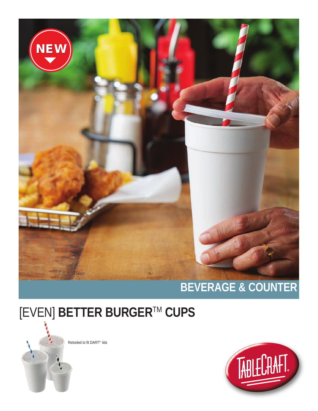

## [EVEN] BETTER BURGER™ CUPS

Retooled to fit DART® lids